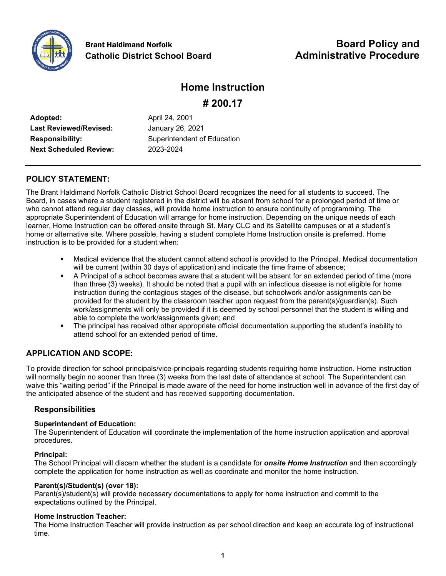

#### **Home Instruction**

**# 200.17**

| Adopted:                      |
|-------------------------------|
| <b>Last Reviewed/Revised:</b> |
| <b>Responsibility:</b>        |
| <b>Next Scheduled Review:</b> |

**Adopted:** April 24, 2001 **Last Reviewed/Revised:** January 26, 2021 **Superintendent of Education Next Scheduled Review:** 2023-2024

#### **POLICY STATEMENT:**

The Brant Haldimand Norfolk Catholic District School Board recognizes the need for all students to succeed. The Board, in cases where a student registered in the district will be absent from school for a prolonged period of time or who cannot attend regular day classes, will provide home instruction to ensure continuity of programming. The appropriate Superintendent of Education will arrange for home instruction. Depending on the unique needs of each learner, Home Instruction can be offered onsite through St. Mary CLC and its Satellite campuses or at a student's home or alternative site. Where possible, having a student complete Home Instruction onsite is preferred. Home instruction is to be provided for a student when:

- Medical evidence that the student cannot attend school is provided to the Principal. Medical documentation will be current (within 30 days of application) and indicate the time frame of absence;
- A Principal of a school becomes aware that a student will be absent for an extended period of time (more than three (3) weeks). It should be noted that a pupil with an infectious disease is not eligible for home instruction during the contagious stages of the disease, but schoolwork and/or assignments can be provided for the student by the classroom teacher upon request from the parent(s)/guardian(s). Such work/assignments will only be provided if it is deemed by school personnel that the student is willing and able to complete the work/assignments given; and
- The principal has received other appropriate official documentation supporting the student's inability to attend school for an extended period of time.

#### **APPLICATION AND SCOPE:**

To provide direction for school principals/vice-principals regarding students requiring home instruction. Home instruction will normally begin no sooner than three (3) weeks from the last date of attendance at school. The Superintendent can waive this "waiting period" if the Principal is made aware of the need for home instruction well in advance of the first day of the anticipated absence of the student and has received supporting documentation.

#### **Responsibilities**

#### **Superintendent of Education:**

The Superintendent of Education will coordinate the implementation of the home instruction application and approval procedures.

#### **Principal:**

The School Principal will discern whether the student is a candidate for *onsite Home Instruction* and then accordingly complete the application for home instruction as well as coordinate and monitor the home instruction.

#### **Parent(s)/Student(s) (over 18):**

Parent(s)/student(s) will provide necessary documentations to apply for home instruction and commit to the expectations outlined by the Principal.

#### **Home Instruction Teacher:**

The Home Instruction Teacher will provide instruction as per school direction and keep an accurate log of instructional time.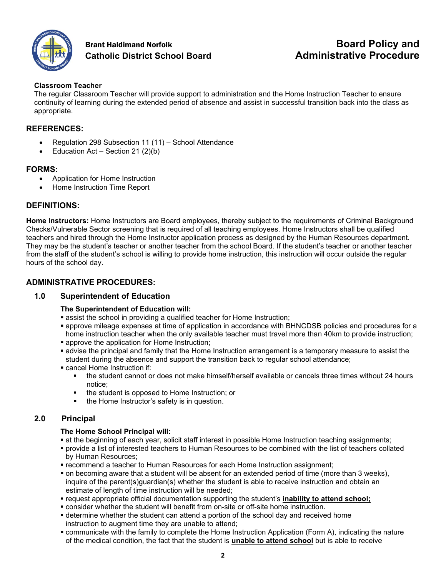

#### **Brant Haldimand Norfolk <b>Board Policy and Board Policy and Catholic District School Board Administrative Procedure**

#### **Classroom Teacher**

The regular Classroom Teacher will provide support to administration and the Home Instruction Teacher to ensure continuity of learning during the extended period of absence and assist in successful transition back into the class as appropriate.

#### **REFERENCES:**

- Regulation 298 Subsection 11 (11) School Attendance
- Education Act Section 21  $(2)(b)$

#### **FORMS:**

- Application for Home Instruction
- Home Instruction Time Report

#### **DEFINITIONS:**

**Home Instructors:** Home Instructors are Board employees, thereby subject to the requirements of Criminal Background Checks/Vulnerable Sector screening that is required of all teaching employees. Home Instructors shall be qualified teachers and hired through the Home Instructor application process as designed by the Human Resources department. They may be the student's teacher or another teacher from the school Board. If the student's teacher or another teacher from the staff of the student's school is willing to provide home instruction, this instruction will occur outside the regular hours of the school day.

#### **ADMINISTRATIVE PROCEDURES:**

#### **1.0 Superintendent of Education**

#### **The Superintendent of Education will:**

- **Example 3 respectively a state in the school in providing a qualified teacher for Home Instruction;**
- approve mileage expenses at time of application in accordance with BHNCDSB policies and procedures for a home instruction teacher when the only available teacher must travel more than 40km to provide instruction;
- **approve the application for Home Instruction;**
- advise the principal and family that the Home Instruction arrangement is a temporary measure to assist the student during the absence and support the transition back to regular school attendance;
- cancel Home Instruction if:
	- the student cannot or does not make himself/herself available or cancels three times without 24 hours notice;
	- **the student is opposed to Home Instruction; or**
	- the Home Instructor's safety is in question.

#### **2.0 Principal**

#### **The Home School Principal will:**

- at the beginning of each year, solicit staff interest in possible Home Instruction teaching assignments;
- provide a list of interested teachers to Human Resources to be combined with the list of teachers collated by Human Resources;
- recommend a teacher to Human Resources for each Home Instruction assignment;
- on becoming aware that a student will be absent for an extended period of time (more than 3 weeks), inquire of the parent(s)quardian(s) whether the student is able to receive instruction and obtain an estimate of length of time instruction will be needed;
- request appropriate official documentation supporting the student's **inability to attend school;**
- consider whether the student will benefit from on-site or off-site home instruction.
- determine whether the student can attend a portion of the school day and received home instruction to augment time they are unable to attend;
- communicate with the family to complete the Home Instruction Application (Form A), indicating the nature of the medical condition, the fact that the student is **unable to attend school** but is able to receive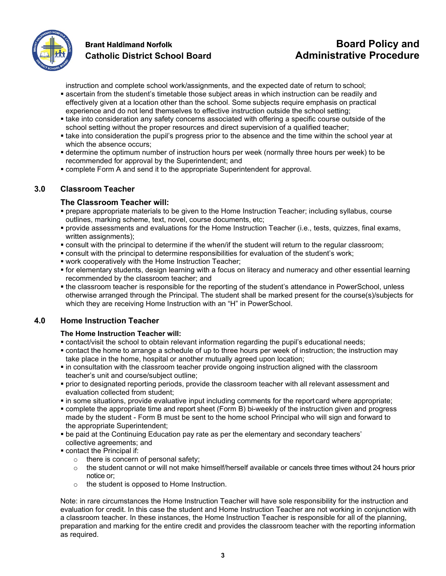

# **Catholic District School Board Administrative Procedure**

instruction and complete school work/assignments, and the expected date of return to school;

- ascertain from the student's timetable those subject areas in which instruction can be readily and effectively given at a location other than the school. Some subjects require emphasis on practical experience and do not lend themselves to effective instruction outside the school setting;
- **If take into consideration any safety concerns associated with offering a specific course outside of the** school setting without the proper resources and direct supervision of a qualified teacher;
- take into consideration the pupil's progress prior to the absence and the time within the school year at which the absence occurs;
- determine the optimum number of instruction hours per week (normally three hours per week) to be recommended for approval by the Superintendent; and
- complete Form A and send it to the appropriate Superintendent for approval.

#### **3.0 Classroom Teacher**

#### **The Classroom Teacher will:**

- prepare appropriate materials to be given to the Home Instruction Teacher; including syllabus, course outlines, marking scheme, text, novel, course documents, etc;
- provide assessments and evaluations for the Home Instruction Teacher (i.e., tests, quizzes, final exams, written assignments);
- consult with the principal to determine if the when/if the student will return to the regular classroom;
- consult with the principal to determine responsibilities for evaluation of the student's work;
- work cooperatively with the Home Instruction Teacher;
- for elementary students, design learning with a focus on literacy and numeracy and other essential learning recommended by the classroom teacher; and
- the classroom teacher is responsible for the reporting of the student's attendance in PowerSchool, unless otherwise arranged through the Principal. The student shall be marked present for the course(s)/subjects for which they are receiving Home Instruction with an "H" in PowerSchool.

#### **4.0 Home Instruction Teacher**

#### **The Home Instruction Teacher will:**

- contact/visit the school to obtain relevant information regarding the pupil's educational needs;
- contact the home to arrange a schedule of up to three hours per week of instruction; the instruction may take place in the home, hospital or another mutually agreed upon location;
- **•** in consultation with the classroom teacher provide ongoing instruction aligned with the classroom teacher's unit and course/subject outline;
- prior to designated reporting periods, provide the classroom teacher with all relevant assessment and evaluation collected from student;
- in some situations, provide evaluative input including comments for the report card where appropriate;
- complete the appropriate time and report sheet (Form B) bi-weekly of the instruction given and progress made by the student - Form B must be sent to the home school Principal who will sign and forward to the appropriate Superintendent;
- be paid at the Continuing Education pay rate as per the elementary and secondary teachers' collective agreements; and
- contact the Principal if:
	- o there is concern of personal safety;
	- $\circ$  the student cannot or will not make himself/herself available or cancels three times without 24 hours prior notice or;
	- o the student is opposed to Home Instruction.

Note: in rare circumstances the Home Instruction Teacher will have sole responsibility for the instruction and evaluation for credit. In this case the student and Home Instruction Teacher are not working in conjunction with a classroom teacher. In these instances, the Home Instruction Teacher is responsible for all of the planning, preparation and marking for the entire credit and provides the classroom teacher with the reporting information as required.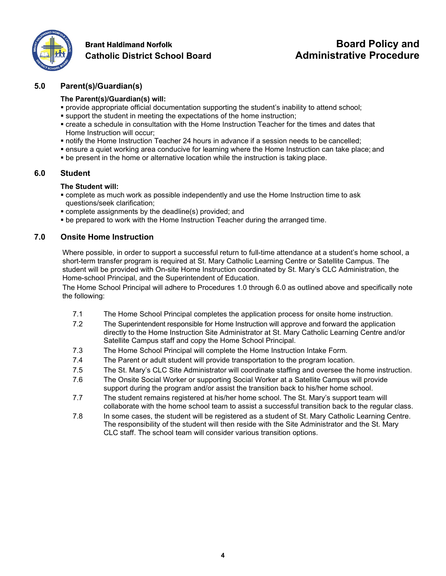

# **Catholic District School Board Administrative Procedure**

# **Brant Haldimand Norfolk <b>Board Policy and Board Policy and**

#### **5.0 Parent(s)/Guardian(s)**

#### **The Parent(s)/Guardian(s) will:**

- provide appropriate official documentation supporting the student's inability to attend school;
- support the student in meeting the expectations of the home instruction;
- create a schedule in consultation with the Home Instruction Teacher for the times and dates that Home Instruction will occur;
- notify the Home Instruction Teacher 24 hours in advance if a session needs to be cancelled;
- ensure a quiet working area conducive for learning where the Home Instruction can take place; and
- be present in the home or alternative location while the instruction is taking place.

#### **6.0 Student**

#### **The Student will:**

- complete as much work as possible independently and use the Home Instruction time to ask questions/seek clarification;
- complete assignments by the deadline(s) provided; and
- be prepared to work with the Home Instruction Teacher during the arranged time.

#### **7.0 Onsite Home Instruction**

Where possible, in order to support a successful return to full-time attendance at a student's home school, a short-term transfer program is required at St. Mary Catholic Learning Centre or Satellite Campus. The student will be provided with On-site Home Instruction coordinated by St. Mary's CLC Administration, the Home-school Principal, and the Superintendent of Education.

The Home School Principal will adhere to Procedures 1.0 through 6.0 as outlined above and specifically note the following:

- 7.1 The Home School Principal completes the application process for onsite home instruction.
- 7.2 The Superintendent responsible for Home Instruction will approve and forward the application directly to the Home Instruction Site Administrator at St. Mary Catholic Learning Centre and/or Satellite Campus staff and copy the Home School Principal.
- 7.3 The Home School Principal will complete the Home Instruction Intake Form.
- 7.4 The Parent or adult student will provide transportation to the program location.
- 7.5 The St. Mary's CLC Site Administrator will coordinate staffing and oversee the home instruction.
- 7.6 The Onsite Social Worker or supporting Social Worker at a Satellite Campus will provide support during the program and/or assist the transition back to his/her home school.
- 7.7 The student remains registered at his/her home school. The St. Mary's support team will collaborate with the home school team to assist a successful transition back to the regular class.
- 7.8 In some cases, the student will be registered as a student of St. Mary Catholic Learning Centre. The responsibility of the student will then reside with the Site Administrator and the St. Mary CLC staff. The school team will consider various transition options.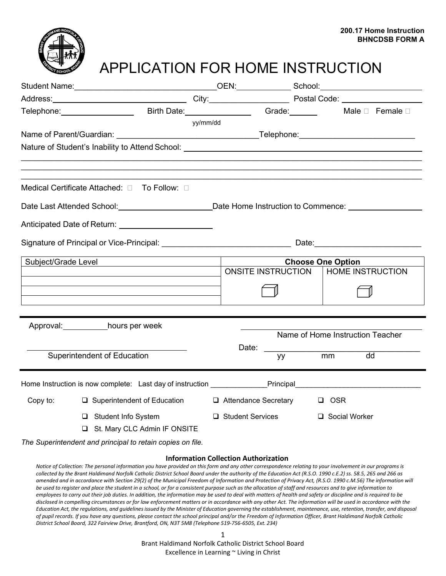

## APPLICATION FOR HOME INSTRUCTION

|                                                                                                               | Telephone: __________________________Birth Date: __________________________Grade: _________________ Male □ Female □ |          |                           |     |                                  |    |
|---------------------------------------------------------------------------------------------------------------|---------------------------------------------------------------------------------------------------------------------|----------|---------------------------|-----|----------------------------------|----|
|                                                                                                               |                                                                                                                     | yy/mm/dd |                           |     |                                  |    |
|                                                                                                               |                                                                                                                     |          |                           |     |                                  |    |
|                                                                                                               |                                                                                                                     |          |                           |     |                                  |    |
|                                                                                                               | Medical Certificate Attached: 0 To Follow: 0                                                                        |          |                           |     |                                  |    |
| Date Last Attended School: ______________________________Date Home Instruction to Commence: _________________ |                                                                                                                     |          |                           |     |                                  |    |
|                                                                                                               |                                                                                                                     |          |                           |     |                                  |    |
|                                                                                                               | Signature of Principal or Vice-Principal: University of Date: Date: Date:                                           |          |                           |     |                                  |    |
| Subject/Grade Level<br><u> 1989 - Johann Stein, mars an de France</u>                                         |                                                                                                                     |          |                           |     | <b>Choose One Option</b>         |    |
|                                                                                                               |                                                                                                                     |          | <b>ONSITE INSTRUCTION</b> |     | <b>HOME INSTRUCTION</b>          |    |
|                                                                                                               |                                                                                                                     |          |                           |     |                                  |    |
|                                                                                                               |                                                                                                                     |          |                           |     |                                  |    |
| Approval: hours per week                                                                                      |                                                                                                                     |          |                           |     | Name of Home Instruction Teacher |    |
|                                                                                                               |                                                                                                                     |          | Date: _________           |     |                                  |    |
|                                                                                                               | Superintendent of Education                                                                                         |          |                           | yy. | mm                               | dd |
|                                                                                                               | Home Instruction is now complete: Last day of instruction ____________Principal_______________________________      |          |                           |     |                                  |    |
| Copy to:                                                                                                      | □ Superintendent of Education                                                                                       |          | □ Attendance Secretary    |     | □ OSR                            |    |
|                                                                                                               | $\Box$ Student Info System                                                                                          |          | $\Box$ Student Services   |     | □ Social Worker                  |    |
|                                                                                                               | St. Mary CLC Admin IF ONSITE                                                                                        |          |                           |     |                                  |    |
|                                                                                                               | The Superintendent and principal to retain copies on file.                                                          |          |                           |     |                                  |    |

#### **Information Collection Authorization**

*Notice of Collection: The personal information you have provided on this form and any other correspondence relating to your involvement in our programs is collected by the Brant Haldimand Norfolk Catholic District School Board under the authority of the Education Act (R.S.O. 1990 c.E.2) ss. 58.5, 265 and 266 as amended and in accordance with Section 29(2) of the Municipal Freedom of Information and Protection of Privacy Act, (R.S.O. 1990 c.M.56) The information will be used to register and place the student in a school, or for a consistent purpose such as the allocation of staff and resources and to give information to employees to carry out their job duties. In addition, the information may be used to deal with matters of health and safety or discipline and is required to be disclosed in compelling circumstances or for law enforcement matters or in accordance with any other Act. The information will be used in accordance with the*  Education Act, the requlations, and quidelines issued by the Minister of Education governing the establishment, maintenance, use, retention, transfer, and disposal *of pupil records. If you have any questions, please contact the school principal and/or the Freedom of Information Officer, Brant Haldimand Norfolk Catholic District School Board, 322 Fairview Drive, Brantford, ON, N3T 5M8 (Telephone 519-756-6505, Ext. 234)*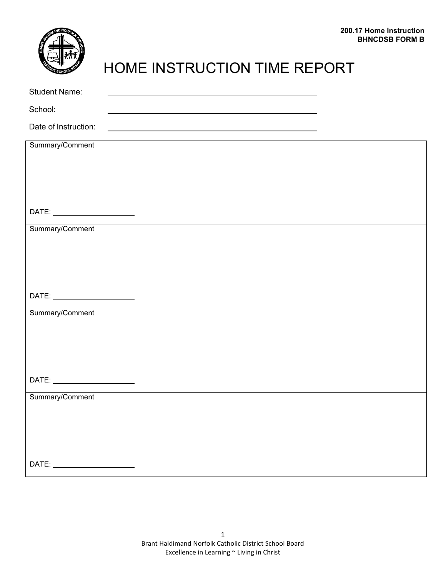

# HOME INSTRUCTION TIME REPORT

| <b>Student Name:</b>                                                                                                                                                                                                           |                                                                                                                      |  |
|--------------------------------------------------------------------------------------------------------------------------------------------------------------------------------------------------------------------------------|----------------------------------------------------------------------------------------------------------------------|--|
| School:                                                                                                                                                                                                                        | <u> 1980 - Jan Barat, martin amerikan basar da</u>                                                                   |  |
| Date of Instruction:                                                                                                                                                                                                           | <u> 1980 - Johann Barn, amerikan besteman besteman besteman besteman besteman besteman besteman besteman bestema</u> |  |
| Summary/Comment                                                                                                                                                                                                                |                                                                                                                      |  |
|                                                                                                                                                                                                                                |                                                                                                                      |  |
|                                                                                                                                                                                                                                |                                                                                                                      |  |
|                                                                                                                                                                                                                                |                                                                                                                      |  |
| DATE: _________________________                                                                                                                                                                                                |                                                                                                                      |  |
| Summary/Comment                                                                                                                                                                                                                |                                                                                                                      |  |
|                                                                                                                                                                                                                                |                                                                                                                      |  |
|                                                                                                                                                                                                                                |                                                                                                                      |  |
|                                                                                                                                                                                                                                |                                                                                                                      |  |
|                                                                                                                                                                                                                                |                                                                                                                      |  |
|                                                                                                                                                                                                                                |                                                                                                                      |  |
| Summary/Comment                                                                                                                                                                                                                |                                                                                                                      |  |
|                                                                                                                                                                                                                                |                                                                                                                      |  |
|                                                                                                                                                                                                                                |                                                                                                                      |  |
|                                                                                                                                                                                                                                |                                                                                                                      |  |
|                                                                                                                                                                                                                                |                                                                                                                      |  |
| Summary/Comment                                                                                                                                                                                                                |                                                                                                                      |  |
|                                                                                                                                                                                                                                |                                                                                                                      |  |
|                                                                                                                                                                                                                                |                                                                                                                      |  |
|                                                                                                                                                                                                                                |                                                                                                                      |  |
| DATE: the contract of the contract of the contract of the contract of the contract of the contract of the contract of the contract of the contract of the contract of the contract of the contract of the contract of the cont |                                                                                                                      |  |